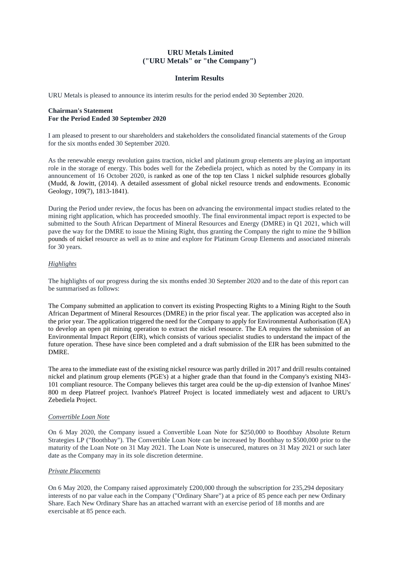# **URU Metals Limited ("URU Metals" or "the Company")**

## **Interim Results**

URU Metals is pleased to announce its interim results for the period ended 30 September 2020.

## **Chairman's Statement For the Period Ended 30 September 2020**

I am pleased to present to our shareholders and stakeholders the consolidated financial statements of the Group for the six months ended 30 September 2020.

As the renewable energy revolution gains traction, nickel and platinum group elements are playing an important role in the storage of energy. This bodes well for the Zebediela project, which as noted by the Company in its announcement of 16 October 2020, is ranked as one of the top ten Class 1 nickel sulphide resources globally (Mudd, & Jowitt, (2014). A detailed assessment of global nickel resource trends and endowments. Economic Geology, 109(7), 1813-1841).

During the Period under review, the focus has been on advancing the environmental impact studies related to the mining right application, which has proceeded smoothly. The final environmental impact report is expected to be submitted to the South African Department of Mineral Resources and Energy (DMRE) in Q1 2021, which will pave the way for the DMRE to issue the Mining Right, thus granting the Company the right to mine the 9 billion pounds of nickel resource as well as to mine and explore for Platinum Group Elements and associated minerals for 30 years.

## *Highlights*

The highlights of our progress during the six months ended 30 September 2020 and to the date of this report can be summarised as follows:

The Company submitted an application to convert its existing Prospecting Rights to a Mining Right to the South African Department of Mineral Resources (DMRE) in the prior fiscal year. The application was accepted also in the prior year. The application triggered the need for the Company to apply for Environmental Authorisation (EA) to develop an open pit mining operation to extract the nickel resource. The EA requires the submission of an Environmental Impact Report (EIR), which consists of various specialist studies to understand the impact of the future operation. These have since been completed and a draft submission of the EIR has been submitted to the DMRE.

The area to the immediate east of the existing nickel resource was partly drilled in 2017 and drill results contained nickel and platinum group elements (PGE's) at a higher grade than that found in the Company's existing NI43- 101 compliant resource. The Company believes this target area could be the up-dip extension of Ivanhoe Mines' 800 m deep Platreef project. Ivanhoe's Platreef Project is located immediately west and adjacent to URU's Zebediela Project.

### *Convertible Loan Note*

On 6 May 2020, the Company issued a Convertible Loan Note for \$250,000 to Boothbay Absolute Return Strategies LP ("Boothbay"). The Convertible Loan Note can be increased by Boothbay to \$500,000 prior to the maturity of the Loan Note on 31 May 2021. The Loan Note is unsecured, matures on 31 May 2021 or such later date as the Company may in its sole discretion determine.

### *Private Placements*

On 6 May 2020, the Company raised approximately £200,000 through the subscription for 235,294 depositary interests of no par value each in the Company ("Ordinary Share") at a price of 85 pence each per new Ordinary Share. Each New Ordinary Share has an attached warrant with an exercise period of 18 months and are exercisable at 85 pence each.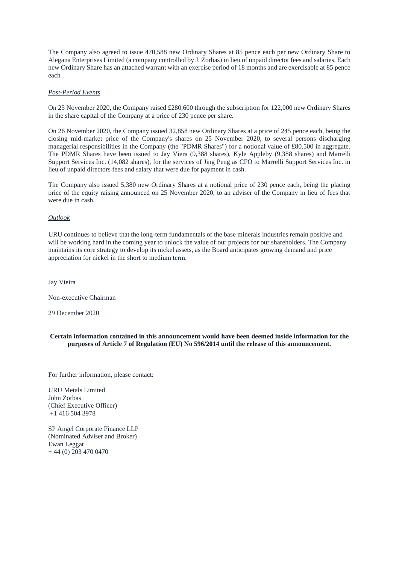The Company also agreed to issue 470,588 new Ordinary Shares at 85 pence each per new Ordinary Share to Alegana Enterprises Limited (a company controlled by J. Zorbas) in lieu of unpaid director fees and salaries. Each new Ordinary Share has an attached warrant with an exercise period of 18 months and are exercisable at 85 pence each .

## *Post-Period Events*

On 25 November 2020, the Company raised £280,600 through the subscription for 122,000 new Ordinary Shares in the share capital of the Company at a price of 230 pence per share.

On 26 November 2020, the Company issued 32,858 new Ordinary Shares at a price of 245 pence each, being the closing mid-market price of the Company's shares on 25 November 2020, to several persons discharging managerial responsibilities in the Company (the "PDMR Shares") for a notional value of £80,500 in aggregate. The PDMR Shares have been issued to Jay Viera (9,388 shares), Kyle Appleby (9,388 shares) and Marrelli Support Services Inc. (14,082 shares), for the services of Jing Peng as CFO to Marrelli Support Services Inc. in lieu of unpaid directors fees and salary that were due for payment in cash.

The Company also issued 5,380 new Ordinary Shares at a notional price of 230 pence each, being the placing price of the equity raising announced on 25 November 2020, to an adviser of the Company in lieu of fees that were due in cash.

### *Outlook*

URU continues to believe that the long-term fundamentals of the base minerals industries remain positive and will be working hard in the coming year to unlock the value of our projects for our shareholders. The Company maintains its core strategy to develop its nickel assets, as the Board anticipates growing demand and price appreciation for nickel in the short to medium term.

Jay Vieira

Non-executive Chairman

29 December 2020

**Certain information contained in this announcement would have been deemed inside information for the purposes of Article 7 of Regulation (EU) No 596/2014 until the release of this announcement.**

For further information, please contact:

URU Metals Limited John Zorbas (Chief Executive Officer) +1 416 504 3978

SP Angel Corporate Finance LLP (Nominated Adviser and Broker) Ewan Leggat + 44 (0) 203 470 0470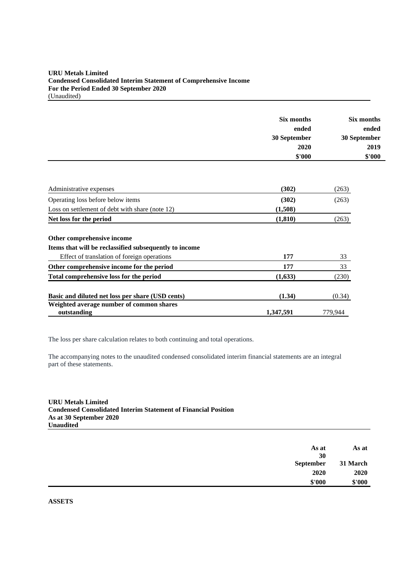# **URU Metals Limited Condensed Consolidated Interim Statement of Comprehensive Income For the Period Ended 30 September 2020** (Unaudited)

|                                                         | Six months<br>ended<br>30 September<br>2020<br>\$'000 | Six months<br>ended<br>30 September<br>2019<br>\$'000 |
|---------------------------------------------------------|-------------------------------------------------------|-------------------------------------------------------|
| Administrative expenses                                 | (302)                                                 | (263)                                                 |
| Operating loss before below items                       | (302)                                                 | (263)                                                 |
| Loss on settlement of debt with share (note 12)         | (1,508)                                               |                                                       |
| Net loss for the period                                 | (1, 810)                                              | (263)                                                 |
| Other comprehensive income                              |                                                       |                                                       |
| Items that will be reclassified subsequently to income  |                                                       |                                                       |
| Effect of translation of foreign operations             | 177                                                   | 33                                                    |
| Other comprehensive income for the period               | 177                                                   | 33                                                    |
| Total comprehensive loss for the period                 | (1,633)                                               | (230)                                                 |
| Basic and diluted net loss per share (USD cents)        | (1.34)                                                | (0.34)                                                |
| Weighted average number of common shares<br>outstanding | 1,347,591                                             | 779,944                                               |

The loss per share calculation relates to both continuing and total operations.

The accompanying notes to the unaudited condensed consolidated interim financial statements are an integral part of these statements.

**URU Metals Limited Condensed Consolidated Interim Statement of Financial Position As at 30 September 2020 Unaudited**

| As at    | As at     |
|----------|-----------|
|          | 30        |
| 31 March | September |
| 2020     | 2020      |
| \$'000   | \$'000    |
|          |           |

**ASSETS**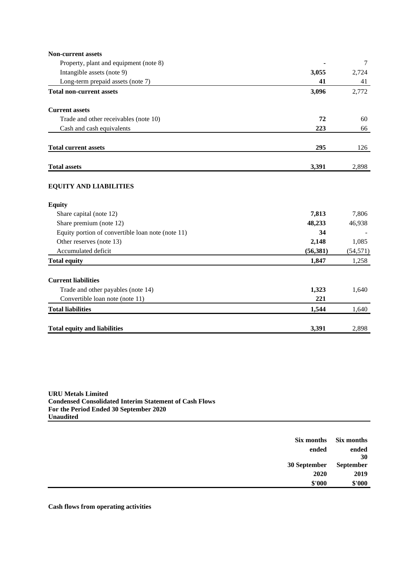| <b>Non-current assets</b>                         |           |           |
|---------------------------------------------------|-----------|-----------|
| Property, plant and equipment (note 8)            |           | 7         |
| Intangible assets (note 9)                        | 3,055     | 2,724     |
| Long-term prepaid assets (note 7)                 | 41        | 41        |
| <b>Total non-current assets</b>                   | 3,096     | 2,772     |
| <b>Current assets</b>                             |           |           |
| Trade and other receivables (note 10)             | 72        | 60        |
| Cash and cash equivalents                         | 223       | 66        |
| <b>Total current assets</b>                       | 295       | 126       |
| <b>Total assets</b>                               | 3,391     | 2,898     |
| <b>EQUITY AND LIABILITIES</b>                     |           |           |
| <b>Equity</b>                                     |           |           |
| Share capital (note 12)                           | 7,813     | 7,806     |
| Share premium (note 12)                           | 48,233    | 46,938    |
| Equity portion of convertible loan note (note 11) | 34        |           |
| Other reserves (note 13)                          | 2,148     | 1,085     |
| Accumulated deficit                               | (56, 381) | (54, 571) |
| <b>Total equity</b>                               | 1,847     | 1,258     |
| <b>Current liabilities</b>                        |           |           |
| Trade and other payables (note 14)                | 1,323     | 1,640     |
| Convertible loan note (note 11)                   | 221       |           |
| <b>Total liabilities</b>                          | 1,544     | 1,640     |
| <b>Total equity and liabilities</b>               | 3,391     | 2,898     |

**URU Metals Limited Condensed Consolidated Interim Statement of Cash Flows For the Period Ended 30 September 2020 Unaudited**

| Six months   | Six months  |
|--------------|-------------|
| ended        | ended<br>30 |
| 30 September | September   |
| 2020         | 2019        |
| \$'000       | \$'000      |

**Cash flows from operating activities**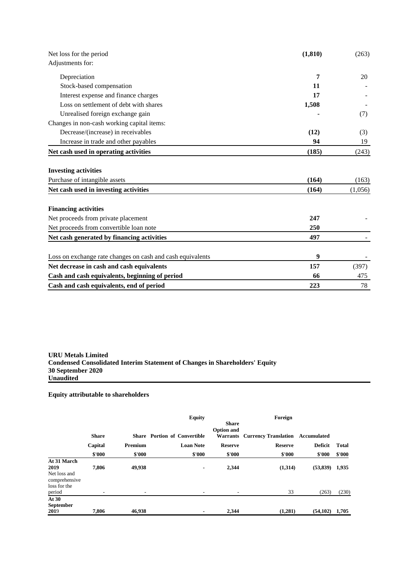| Net loss for the period                                      | (1, 810)       | (263)            |  |
|--------------------------------------------------------------|----------------|------------------|--|
| Adjustments for:                                             |                |                  |  |
| Depreciation                                                 | 7              | 20               |  |
| Stock-based compensation                                     | 11             |                  |  |
| Interest expense and finance charges                         | 17             |                  |  |
| Loss on settlement of debt with shares                       | 1,508          |                  |  |
| Unrealised foreign exchange gain                             |                | (7)              |  |
| Changes in non-cash working capital items:                   |                |                  |  |
| Decrease/(increase) in receivables                           | (12)           | (3)              |  |
| Increase in trade and other payables                         | 94             | 19               |  |
| Net cash used in operating activities                        | (185)          | (243)            |  |
| <b>Investing activities</b><br>Purchase of intangible assets | (164)<br>(164) | (163)<br>(1,056) |  |
| Net cash used in investing activities                        |                |                  |  |
| <b>Financing activities</b>                                  |                |                  |  |
| Net proceeds from private placement                          | 247            |                  |  |
| Net proceeds from convertible loan note                      | 250            |                  |  |
| Net cash generated by financing activities                   | 497            |                  |  |
| Loss on exchange rate changes on cash and cash equivalents   | 9              |                  |  |
| Net decrease in cash and cash equivalents                    | 157            | (397)            |  |
| Cash and cash equivalents, beginning of period               | 66             | 475              |  |
| Cash and cash equivalents, end of period                     | 223            | 78               |  |

**URU Metals Limited Condensed Consolidated Interim Statement of Changes in Shareholders' Equity 30 September 2020 Unaudited**

# **Equity attributable to shareholders**

|                                                                                |              |         | <b>Equity</b>                       |                                   | Foreign                              |                    |                |
|--------------------------------------------------------------------------------|--------------|---------|-------------------------------------|-----------------------------------|--------------------------------------|--------------------|----------------|
|                                                                                | <b>Share</b> |         | <b>Share Portion of Convertible</b> | <b>Share</b><br><b>Option and</b> | <b>Warrants</b> Currency Translation | Accumulated        |                |
|                                                                                | Capital      | Premium | <b>Loan Note</b>                    | <b>Reserve</b>                    | <b>Reserve</b>                       | <b>Deficit</b>     | <b>Total</b>   |
|                                                                                | \$'000       | \$'000  | \$'000                              | \$'000                            | \$'000                               | \$'000             | \$'000         |
| At 31 March<br>2019<br>Net loss and<br>comprehensive<br>loss for the<br>period | 7,806        | 49,938  | $\blacksquare$                      | 2,344                             | (1,314)<br>33                        | (53, 839)<br>(263) | 1,935<br>(230) |
| At $30$<br><b>September</b><br>2019                                            | 7.806        | 46.938  | $\overline{\phantom{0}}$            | 2,344                             | (1,281)                              | $(54,102)$ 1,705   |                |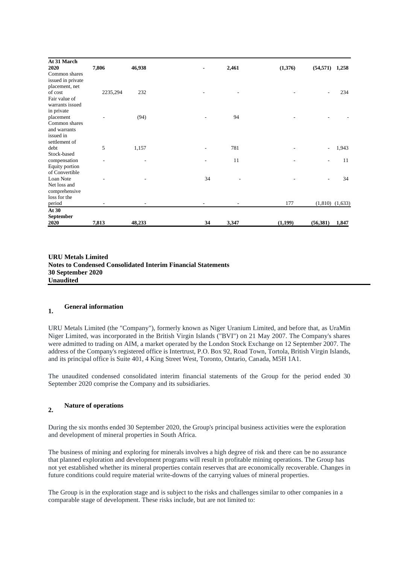| At 31 March<br>2020 | 7,806    | 46,938 | $\blacksquare$ | 2,461 | (1,376) | (54, 571) | 1,258               |
|---------------------|----------|--------|----------------|-------|---------|-----------|---------------------|
| Common shares       |          |        |                |       |         |           |                     |
| issued in private   |          |        |                |       |         |           |                     |
| placement, net      |          |        |                |       |         |           |                     |
| of cost             | 2235,294 | 232    |                |       |         |           | 234                 |
| Fair value of       |          |        |                |       |         |           |                     |
| warrants issued     |          |        |                |       |         |           |                     |
| in private          |          |        |                |       |         |           |                     |
| placement           |          | (94)   | ٠              | 94    |         |           |                     |
| Common shares       |          |        |                |       |         |           |                     |
| and warrants        |          |        |                |       |         |           |                     |
| issued in           |          |        |                |       |         |           |                     |
| settlement of       |          |        |                |       |         |           |                     |
| debt                | 5        | 1,157  |                | 781   |         | ÷,        | 1,943               |
| Stock-based         |          |        |                |       |         |           |                     |
| compensation        |          |        |                | 11    |         |           | 11                  |
| Equity portion      |          |        |                |       |         |           |                     |
| of Convertible      |          |        |                |       |         |           |                     |
| Loan Note           |          |        | 34             |       |         |           | 34                  |
| Net loss and        |          |        |                |       |         |           |                     |
| comprehensive       |          |        |                |       |         |           |                     |
| loss for the        |          |        |                |       |         |           |                     |
| period              |          |        |                |       | 177     |           | $(1,810)$ $(1,633)$ |
| At 30               |          |        |                |       |         |           |                     |
| September<br>2020   | 7,813    | 48,233 | 34             | 3,347 | (1,199) | (56, 381) | 1,847               |

**URU Metals Limited Notes to Condensed Consolidated Interim Financial Statements 30 September 2020 Unaudited**

# **1. General information**

URU Metals Limited (the "Company"), formerly known as Niger Uranium Limited, and before that, as UraMin Niger Limited, was incorporated in the British Virgin Islands ("BVI") on 21 May 2007. The Company's shares were admitted to trading on AIM, a market operated by the London Stock Exchange on 12 September 2007. The address of the Company's registered office is Intertrust, P.O. Box 92, Road Town, Tortola, British Virgin Islands, and its principal office is Suite 401, 4 King Street West, Toronto, Ontario, Canada, M5H 1A1.

The unaudited condensed consolidated interim financial statements of the Group for the period ended 30 September 2020 comprise the Company and its subsidiaries.

# **2. Nature of operations**

During the six months ended 30 September 2020, the Group's principal business activities were the exploration and development of mineral properties in South Africa.

The business of mining and exploring for minerals involves a high degree of risk and there can be no assurance that planned exploration and development programs will result in profitable mining operations. The Group has not yet established whether its mineral properties contain reserves that are economically recoverable. Changes in future conditions could require material write-downs of the carrying values of mineral properties.

The Group is in the exploration stage and is subject to the risks and challenges similar to other companies in a comparable stage of development. These risks include, but are not limited to: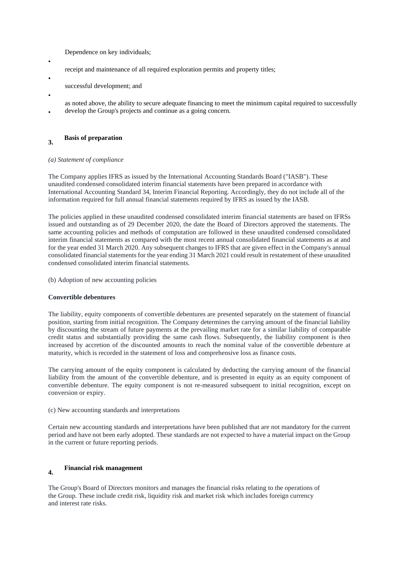Dependence on key individuals;

- receipt and maintenance of all required exploration permits and property titles;
- successful development; and
- •

•

- as noted above, the ability to secure adequate financing to meet the minimum capital required to successfully
- develop the Group's projects and continue as a going concern.

#### **3. Basis of preparation**

# *(a) Statement of compliance*

The Company applies IFRS as issued by the International Accounting Standards Board ("IASB"). These unaudited condensed consolidated interim financial statements have been prepared in accordance with International Accounting Standard 34, Interim Financial Reporting. Accordingly, they do not include all of the information required for full annual financial statements required by IFRS as issued by the IASB.

The policies applied in these unaudited condensed consolidated interim financial statements are based on IFRSs issued and outstanding as of 29 December 2020, the date the Board of Directors approved the statements. The same accounting policies and methods of computation are followed in these unaudited condensed consolidated interim financial statements as compared with the most recent annual consolidated financial statements as at and for the year ended 31 March 2020. Any subsequent changes to IFRS that are given effect in the Company's annual consolidated financial statements for the year ending 31 March 2021 could result in restatement of these unaudited condensed consolidated interim financial statements.

(b) Adoption of new accounting policies

## **Convertible debentures**

The liability, equity components of convertible debentures are presented separately on the statement of financial position, starting from initial recognition. The Company determines the carrying amount of the financial liability by discounting the stream of future payments at the prevailing market rate for a similar liability of comparable credit status and substantially providing the same cash flows. Subsequently, the liability component is then increased by accretion of the discounted amounts to reach the nominal value of the convertible debenture at maturity, which is recorded in the statement of loss and comprehensive loss as finance costs.

The carrying amount of the equity component is calculated by deducting the carrying amount of the financial liability from the amount of the convertible debenture, and is presented in equity as an equity component of convertible debenture. The equity component is not re-measured subsequent to initial recognition, except on conversion or expiry.

(c) New accounting standards and interpretations

Certain new accounting standards and interpretations have been published that are not mandatory for the current period and have not been early adopted. These standards are not expected to have a material impact on the Group in the current or future reporting periods.

#### **4. Financial risk management**

The Group's Board of Directors monitors and manages the financial risks relating to the operations of the Group. These include credit risk, liquidity risk and market risk which includes foreign currency and interest rate risks.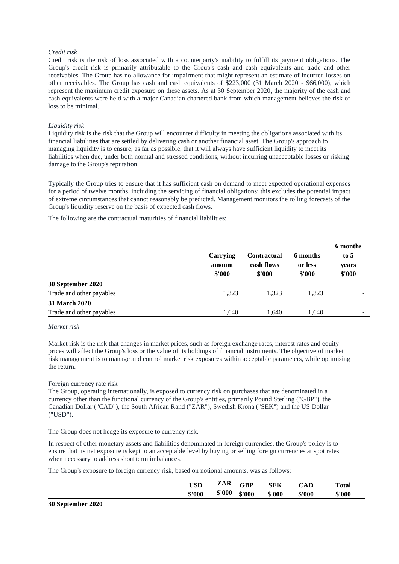### *Credit risk*

Credit risk is the risk of loss associated with a counterparty's inability to fulfill its payment obligations. The Group's credit risk is primarily attributable to the Group's cash and cash equivalents and trade and other receivables. The Group has no allowance for impairment that might represent an estimate of incurred losses on other receivables. The Group has cash and cash equivalents of \$223,000 (31 March 2020 - \$66,000), which represent the maximum credit exposure on these assets. As at 30 September 2020, the majority of the cash and cash equivalents were held with a major Canadian chartered bank from which management believes the risk of loss to be minimal.

### *Liquidity risk*

Liquidity risk is the risk that the Group will encounter difficulty in meeting the obligations associated with its financial liabilities that are settled by delivering cash or another financial asset. The Group's approach to managing liquidity is to ensure, as far as possible, that it will always have sufficient liquidity to meet its liabilities when due, under both normal and stressed conditions, without incurring unacceptable losses or risking damage to the Group's reputation.

Typically the Group tries to ensure that it has sufficient cash on demand to meet expected operational expenses for a period of twelve months, including the servicing of financial obligations; this excludes the potential impact of extreme circumstances that cannot reasonably be predicted. Management monitors the rolling forecasts of the Group's liquidity reserve on the basis of expected cash flows.

The following are the contractual maturities of financial liabilities:

|                          | Carrying<br>amount<br>\$'000 | <b>Contractual</b><br>cash flows<br>\$'000 | 6 months<br>or less<br>\$'000 | 6 months<br>to 5<br>years<br>\$'000 |
|--------------------------|------------------------------|--------------------------------------------|-------------------------------|-------------------------------------|
| 30 September 2020        |                              |                                            |                               |                                     |
| Trade and other payables | 1.323                        | 1.323                                      | 1.323                         |                                     |
| 31 March 2020            |                              |                                            |                               |                                     |
| Trade and other payables | 1.640                        | 1.640                                      | 1,640                         |                                     |

## *Market risk*

Market risk is the risk that changes in market prices, such as foreign exchange rates, interest rates and equity prices will affect the Group's loss or the value of its holdings of financial instruments. The objective of market risk management is to manage and control market risk exposures within acceptable parameters, while optimising the return.

### Foreign currency rate risk

The Group, operating internationally, is exposed to currency risk on purchases that are denominated in a currency other than the functional currency of the Group's entities, primarily Pound Sterling ("GBP"), the Canadian Dollar ("CAD"), the South African Rand ("ZAR"), Swedish Krona ("SEK") and the US Dollar ("USD").

The Group does not hedge its exposure to currency risk.

In respect of other monetary assets and liabilities denominated in foreign currencies, the Group's policy is to ensure that its net exposure is kept to an acceptable level by buying or selling foreign currencies at spot rates when necessary to address short term imbalances.

The Group's exposure to foreign currency risk, based on notional amounts, was as follows:

| <b>USD</b> | ZAR    | GBP    | <b>SEK</b> | 'AD    | <b>Total</b> |
|------------|--------|--------|------------|--------|--------------|
| \$'000     | \$'000 | \$'000 | \$'000     | \$'000 | \$'000       |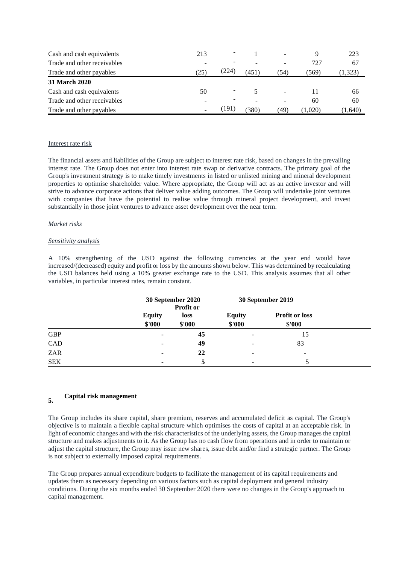| Cash and cash equivalents   | 213  |       |       |     |         | 223           |
|-----------------------------|------|-------|-------|-----|---------|---------------|
| Trade and other receivables | -    |       |       |     | 727     | 67            |
| Trade and other payables    | (25) | (224  | (451) | 54) | (569)   | $323^{\circ}$ |
| <b>31 March 2020</b>        |      |       |       |     |         |               |
| Cash and cash equivalents   | 50   |       |       |     |         | 66            |
| Trade and other receivables |      |       |       |     | 60      | 60            |
| Trade and other payables    |      | [191] | (380) | 49) | (1,020) | (1,640)       |

### Interest rate risk

The financial assets and liabilities of the Group are subject to interest rate risk, based on changes in the prevailing interest rate. The Group does not enter into interest rate swap or derivative contracts. The primary goal of the Group's investment strategy is to make timely investments in listed or unlisted mining and mineral development properties to optimise shareholder value. Where appropriate, the Group will act as an active investor and will strive to advance corporate actions that deliver value adding outcomes. The Group will undertake joint ventures with companies that have the potential to realise value through mineral project development, and invest substantially in those joint ventures to advance asset development over the near term.

### *Market risks*

### *Sensitivity analysis*

A 10% strengthening of the USD against the following currencies at the year end would have increased/(decreased) equity and profit or loss by the amounts shown below. This was determined by recalculating the USD balances held using a 10% greater exchange rate to the USD. This analysis assumes that all other variables, in particular interest rates, remain constant.

|            |                          | 30 September 2020<br>Profit or |                          | 30 September 2019               |  |  |
|------------|--------------------------|--------------------------------|--------------------------|---------------------------------|--|--|
|            | <b>Equity</b><br>\$'000  | loss<br>\$'000                 | <b>Equity</b><br>\$'000  | <b>Profit or loss</b><br>\$'000 |  |  |
| <b>GBP</b> | ٠                        | 45                             | -                        | 15                              |  |  |
| CAD        | ۰                        | 49                             | -                        | 83                              |  |  |
| ZAR        | $\blacksquare$           | 22                             |                          | -                               |  |  |
| <b>SEK</b> | $\overline{\phantom{a}}$ |                                | $\overline{\phantom{a}}$ |                                 |  |  |

#### **5. Capital risk management**

The Group includes its share capital, share premium, reserves and accumulated deficit as capital. The Group's objective is to maintain a flexible capital structure which optimises the costs of capital at an acceptable risk. In light of economic changes and with the risk characteristics of the underlying assets, the Group manages the capital structure and makes adjustments to it. As the Group has no cash flow from operations and in order to maintain or adjust the capital structure, the Group may issue new shares, issue debt and/or find a strategic partner. The Group is not subject to externally imposed capital requirements.

The Group prepares annual expenditure budgets to facilitate the management of its capital requirements and updates them as necessary depending on various factors such as capital deployment and general industry conditions. During the six months ended 30 September 2020 there were no changes in the Group's approach to capital management.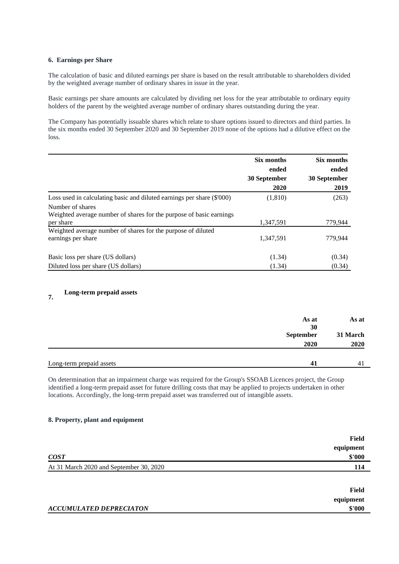## **6. Earnings per Share**

The calculation of basic and diluted earnings per share is based on the result attributable to shareholders divided by the weighted average number of ordinary shares in issue in the year.

Basic earnings per share amounts are calculated by dividing net loss for the year attributable to ordinary equity holders of the parent by the weighted average number of ordinary shares outstanding during the year.

The Company has potentially issuable shares which relate to share options issued to directors and third parties. In the six months ended 30 September 2020 and 30 September 2019 none of the options had a dilutive effect on the loss.

|                                                                                    | Six months            | Six months            |
|------------------------------------------------------------------------------------|-----------------------|-----------------------|
|                                                                                    | ended<br>30 September | ended<br>30 September |
|                                                                                    | 2020                  | 2019                  |
| Loss used in calculating basic and diluted earnings per share (\$'000)             | (1, 810)              | (263)                 |
| Number of shares                                                                   |                       |                       |
| Weighted average number of shares for the purpose of basic earnings                |                       |                       |
| per share                                                                          | 1,347,591             | 779,944               |
| Weighted average number of shares for the purpose of diluted<br>earnings per share | 1.347.591             | 779.944               |
| Basic loss per share (US dollars)                                                  | (1.34)                | (0.34)                |
| Diluted loss per share (US dollars)                                                | (1.34)                | (0.34)                |

#### **7. Long-term prepaid assets**

|                          | As at<br>30 | As at    |
|--------------------------|-------------|----------|
|                          | September   | 31 March |
|                          | 2020        | 2020     |
|                          |             |          |
| Long-term prepaid assets | 41          | 41       |

On determination that an impairment charge was required for the Group's SSOAB Licences project, the Group identified a long-term prepaid asset for future drilling costs that may be applied to projects undertaken in other locations. Accordingly, the long-term prepaid asset was transferred out of intangible assets.

### **8. Property, plant and equipment**

|                                         | Field<br>equipment |
|-----------------------------------------|--------------------|
| <b>COST</b>                             | \$'000             |
| At 31 March 2020 and September 30, 2020 | 114                |
|                                         |                    |
|                                         | Field              |
|                                         | equipment          |
| <b>ACCUMULATED DEPRECIATON</b>          | \$'000             |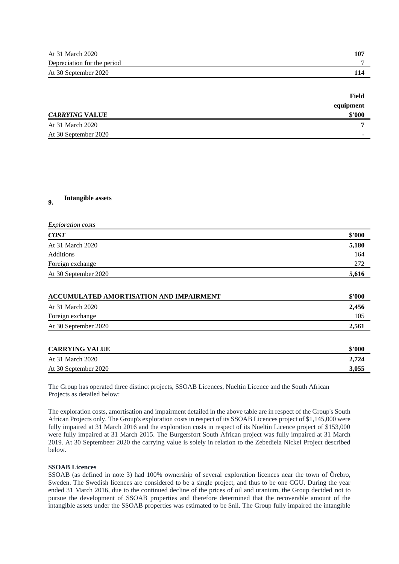| At 31 March 2020            | 10″ |
|-----------------------------|-----|
| Depreciation for the period |     |
| At 30 September 2020        |     |

|                       | Field                    |
|-----------------------|--------------------------|
|                       | equipment                |
| <b>CARRYING VALUE</b> | \$'000                   |
| At 31 March 2020      |                          |
| At 30 September 2020  | $\overline{\phantom{a}}$ |

#### **9. Intangible assets**

| <b>Exploration</b> costs |        |
|--------------------------|--------|
| COST                     | \$'000 |
| At 31 March 2020         | 5,180  |
| Additions                | 164    |
| Foreign exchange         | 272    |
| At 30 September 2020     | 5,616  |

| ACCUMULATED AMORTISATION AND IMPAIRMENT |       |
|-----------------------------------------|-------|
| At 31 March 2020                        | 2,456 |
| Foreign exchange                        | 105   |
| At 30 September 2020                    | 2,561 |
|                                         |       |

| <b>CARRYING VALUE</b> | \$'000 |
|-----------------------|--------|
| At 31 March 2020      | 2.724  |
| At 30 September 2020  | 3.055  |

The Group has operated three distinct projects, SSOAB Licences, Nueltin Licence and the South African Projects as detailed below:

The exploration costs, amortisation and impairment detailed in the above table are in respect of the Group's South African Projects only. The Group's exploration costs in respect of its SSOAB Licences project of \$1,145,000 were fully impaired at 31 March 2016 and the exploration costs in respect of its Nueltin Licence project of \$153,000 were fully impaired at 31 March 2015. The Burgersfort South African project was fully impaired at 31 March 2019. At 30 Septembeer 2020 the carrying value is solely in relation to the Zebediela Nickel Project described below.

### **SSOAB Licences**

SSOAB (as defined in note 3) had 100% ownership of several exploration licences near the town of Örebro, Sweden. The Swedish licences are considered to be a single project, and thus to be one CGU. During the year ended 31 March 2016, due to the continued decline of the prices of oil and uranium, the Group decided not to pursue the development of SSOAB properties and therefore determined that the recoverable amount of the intangible assets under the SSOAB properties was estimated to be \$nil. The Group fully impaired the intangible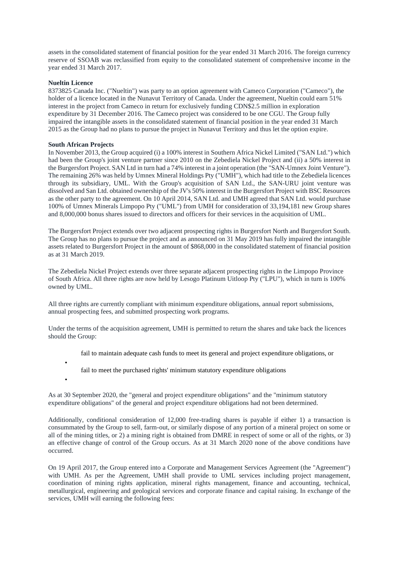assets in the consolidated statement of financial position for the year ended 31 March 2016. The foreign currency reserve of SSOAB was reclassified from equity to the consolidated statement of comprehensive income in the year ended 31 March 2017.

## **Nueltin Licence**

8373825 Canada Inc. ("Nueltin") was party to an option agreement with Cameco Corporation ("Cameco"), the holder of a licence located in the Nunavut Territory of Canada. Under the agreement, Nueltin could earn 51% interest in the project from Cameco in return for exclusively funding CDN\$2.5 million in exploration expenditure by 31 December 2016. The Cameco project was considered to be one CGU. The Group fully impaired the intangible assets in the consolidated statement of financial position in the year ended 31 March 2015 as the Group had no plans to pursue the project in Nunavut Territory and thus let the option expire.

### **South African Projects**

•

•

In November 2013, the Group acquired (i) a 100% interest in Southern Africa Nickel Limited ("SAN Ltd.") which had been the Group's joint venture partner since 2010 on the Zebediela Nickel Project and (ii) a 50% interest in the Burgersfort Project. SAN Ltd in turn had a 74% interest in a joint operation (the "SAN-Umnex Joint Venture"). The remaining 26% was held by Umnex Mineral Holdings Pty ("UMH"), which had title to the Zebediela licences through its subsidiary, UML. With the Group's acquisition of SAN Ltd., the SAN-URU joint venture was dissolved and San Ltd. obtained ownership of the JV's 50% interest in the Burgersfort Project with BSC Resources as the other party to the agreement. On 10 April 2014, SAN Ltd. and UMH agreed that SAN Ltd. would purchase 100% of Umnex Minerals Limpopo Pty ("UML") from UMH for consideration of 33,194,181 new Group shares and 8,000,000 bonus shares issued to directors and officers for their services in the acquisition of UML.

The Burgersfort Project extends over two adjacent prospecting rights in Burgersfort North and Burgersfort South. The Group has no plans to pursue the project and as announced on 31 May 2019 has fully impaired the intangible assets related to Burgersfort Project in the amount of \$868,000 in the consolidated statement of financial position as at 31 March 2019.

The Zebediela Nickel Project extends over three separate adjacent prospecting rights in the Limpopo Province of South Africa. All three rights are now held by Lesogo Platinum Uitloop Pty ("LPU"), which in turn is 100% owned by UML.

All three rights are currently compliant with minimum expenditure obligations, annual report submissions, annual prospecting fees, and submitted prospecting work programs.

Under the terms of the acquisition agreement, UMH is permitted to return the shares and take back the licences should the Group:

- fail to maintain adequate cash funds to meet its general and project expenditure obligations, or
- fail to meet the purchased rights' minimum statutory expenditure obligations

As at 30 September 2020, the "general and project expenditure obligations" and the "minimum statutory expenditure obligations" of the general and project expenditure obligations had not been determined.

Additionally, conditional consideration of 12,000 free-trading shares is payable if either 1) a transaction is consummated by the Group to sell, farm-out, or similarly dispose of any portion of a mineral project on some or all of the mining titles, or 2) a mining right is obtained from DMRE in respect of some or all of the rights, or 3) an effective change of control of the Group occurs. As at 31 March 2020 none of the above conditions have occurred.

On 19 April 2017, the Group entered into a Corporate and Management Services Agreement (the "Agreement") with UMH. As per the Agreement, UMH shall provide to UML services including project management, coordination of mining rights application, mineral rights management, finance and accounting, technical, metallurgical, engineering and geological services and corporate finance and capital raising. In exchange of the services, UMH will earning the following fees: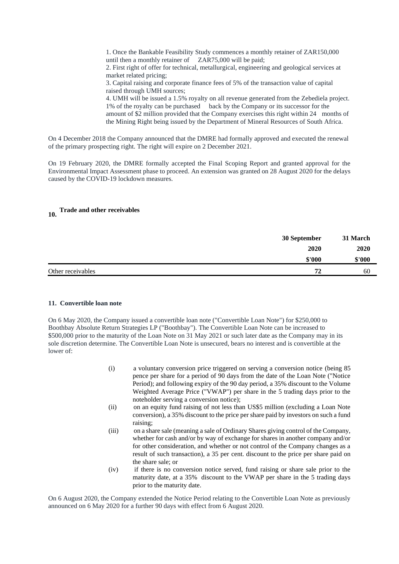1. Once the Bankable Feasibility Study commences a monthly retainer of ZAR150,000 until then a monthly retainer of ZAR75,000 will be paid; 2. First right of offer for technical, metallurgical, engineering and geological services at market related pricing; 3. Capital raising and corporate finance fees of 5% of the transaction value of capital raised through UMH sources; 4. UMH will be issued a 1.5% royalty on all revenue generated from the Zebediela project.

1% of the royalty can be purchased back by the Company or its successor for the amount of \$2 million provided that the Company exercises this right within 24 months of the Mining Right being issued by the Department of Mineral Resources of South Africa.

On 4 December 2018 the Company announced that the DMRE had formally approved and executed the renewal of the primary prospecting right. The right will expire on 2 December 2021.

On 19 February 2020, the DMRE formally accepted the Final Scoping Report and granted approval for the Environmental Impact Assessment phase to proceed. An extension was granted on 28 August 2020 for the delays caused by the COVID-19 lockdown measures.

# **10. Trade and other receivables**

|                   | 30 September | 31 March |
|-------------------|--------------|----------|
|                   | 2020         | 2020     |
|                   | \$'000       | \$'000   |
| Other receivables | 72           | 60       |

### **11. Convertible loan note**

On 6 May 2020, the Company issued a convertible loan note ("Convertible Loan Note") for \$250,000 to Boothbay Absolute Return Strategies LP ("Boothbay"). The Convertible Loan Note can be increased to \$500,000 prior to the maturity of the Loan Note on 31 May 2021 or such later date as the Company may in its sole discretion determine. The Convertible Loan Note is unsecured, bears no interest and is convertible at the lower of:

- (i) a voluntary conversion price triggered on serving a conversion notice (being 85 pence per share for a period of 90 days from the date of the Loan Note ("Notice Period); and following expiry of the 90 day period, a 35% discount to the Volume Weighted Average Price ("VWAP") per share in the 5 trading days prior to the noteholder serving a conversion notice);
- (ii) on an equity fund raising of not less than US\$5 million (excluding a Loan Note conversion), a 35% discount to the price per share paid by investors on such a fund raising;
- (iii) on a share sale (meaning a sale of Ordinary Shares giving control of the Company, whether for cash and/or by way of exchange for shares in another company and/or for other consideration, and whether or not control of the Company changes as a result of such transaction), a 35 per cent. discount to the price per share paid on the share sale; or
- (iv) if there is no conversion notice served, fund raising or share sale prior to the maturity date, at a 35% discount to the VWAP per share in the 5 trading days prior to the maturity date.

On 6 August 2020, the Company extended the Notice Period relating to the Convertible Loan Note as previously announced on 6 May 2020 for a further 90 days with effect from 6 August 2020.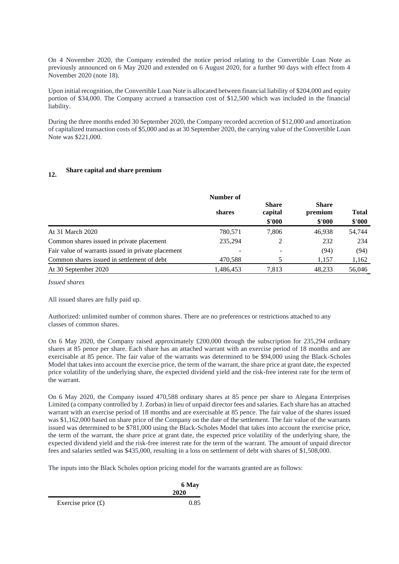On 4 November 2020, the Company extended the notice period relating to the Convertible Loan Note as previously announced on 6 May 2020 and extended on 6 August 2020, for a further 90 days with effect from 4 November 2020 (note 18).

Upon initial recognition, the Convertible Loan Note is allocated between financial liability of \$204,000 and equity portion of \$34,000. The Company accrued a transaction cost of \$12,500 which was included in the financial liability.

During the three months ended 30 September 2020, the Company recorded accretion of \$12,000 and amortization of capitalized transaction costs of \$5,000 and as at 30 September 2020, the carrying value of the Convertible Loan Note was \$221,000.

# **12. Share capital and share premium**

|                                                    | Number of |                                   |                                   |                        |
|----------------------------------------------------|-----------|-----------------------------------|-----------------------------------|------------------------|
|                                                    | shares    | <b>Share</b><br>capital<br>\$'000 | <b>Share</b><br>premium<br>\$'000 | <b>Total</b><br>\$'000 |
| At 31 March 2020                                   | 780,571   | 7.806                             | 46.938                            | 54,744                 |
| Common shares issued in private placement          | 235,294   | 2                                 | 232                               | 234                    |
| Fair value of warrants issued in private placement | ٠         |                                   | (94)                              | (94)                   |
| Common shares issued in settlement of debt         | 470,588   | 5                                 | 1,157                             | 1,162                  |
| At 30 September 2020                               | 1,486,453 | 7,813                             | 48,233                            | 56,046                 |

*Issued shares*

All issued shares are fully paid up.

Authorized: unlimited number of common shares. There are no preferences or restrictions attached to any classes of common shares.

On 6 May 2020, the Company raised approximately £200,000 through the subscription for 235,294 ordinary shares at 85 pence per share. Each share has an attached warrant with an exercise period of 18 months and are exercisable at 85 pence. The fair value of the warrants was determined to be \$94,000 using the Black-Scholes Model that takes into account the exercise price, the term of the warrant, the share price at grant date, the expected price volatility of the underlying share, the expected dividend yield and the risk-free interest rate for the term of the warrant.

On 6 May 2020, the Company issued 470,588 ordinary shares at 85 pence per share to Alegana Enterprises Limited (a company controlled by J. Zorbas) in lieu of unpaid director fees and salaries. Each share has an attached warrant with an exercise period of 18 months and are exercisable at 85 pence. The fair value of the shares issued was \$1,162,000 based on share price of the Company on the date of the settlement. The fair value of the warrants issued was determined to be \$781,000 using the Black-Scholes Model that takes into account the exercise price, the term of the warrant, the share price at grant date, the expected price volatility of the underlying share, the expected dividend yield and the risk-free interest rate for the term of the warrant. The amount of unpaid director fees and salaries settled was \$435,000, resulting in a loss on settlement of debt with shares of \$1,508,000.

The inputs into the Black Scholes option pricing model for the warrants granted are as follows:

|                      | 6 May |  |
|----------------------|-------|--|
|                      | 2020  |  |
| Exercise price $(f)$ | 0.85  |  |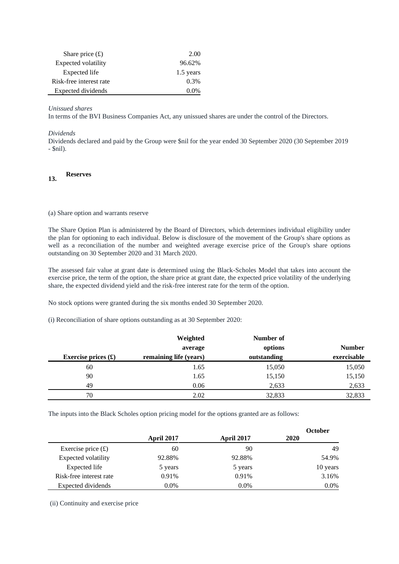| Share price $(f)$       | 2.00      |
|-------------------------|-----------|
| Expected volatility     | 96.62%    |
| Expected life           | 1.5 years |
| Risk-free interest rate | $0.3\%$   |
| Expected dividends      |           |

## *Unissued shares*

In terms of the BVI Business Companies Act, any unissued shares are under the control of the Directors.

### *Dividends*

Dividends declared and paid by the Group were \$nil for the year ended 30 September 2020 (30 September 2019 - \$nil).

# **13. Reserves**

(a) Share option and warrants reserve

The Share Option Plan is administered by the Board of Directors, which determines individual eligibility under the plan for optioning to each individual. Below is disclosure of the movement of the Group's share options as well as a reconciliation of the number and weighted average exercise price of the Group's share options outstanding on 30 September 2020 and 31 March 2020.

The assessed fair value at grant date is determined using the Black-Scholes Model that takes into account the exercise price, the term of the option, the share price at grant date, the expected price volatility of the underlying share, the expected dividend yield and the risk-free interest rate for the term of the option.

No stock options were granted during the six months ended 30 September 2020.

(i) Reconciliation of share options outstanding as at 30 September 2020:

|                             | Weighted               | Number of   |               |
|-----------------------------|------------------------|-------------|---------------|
|                             | average                | options     | <b>Number</b> |
| Exercise prices $(\pounds)$ | remaining life (years) | outstanding | exercisable   |
| 60                          | 1.65                   | 15,050      | 15,050        |
| 90                          | 1.65                   | 15,150      | 15,150        |
| 49                          | 0.06                   | 2,633       | 2,633         |
| 70                          | 2.02                   | 32,833      | 32,833        |

The inputs into the Black Scholes option pricing model for the options granted are as follows:

|                         |                   |                   | <b>October</b> |
|-------------------------|-------------------|-------------------|----------------|
|                         | <b>April 2017</b> | <b>April 2017</b> | 2020           |
| Exercise price $(f)$    | 60                | 90                | 49             |
| Expected volatility     | 92.88%            | 92.88%            | 54.9%          |
| Expected life           | 5 years           | 5 years           | 10 years       |
| Risk-free interest rate | 0.91%             | 0.91%             | 3.16%          |
| Expected dividends      | $0.0\%$           | $0.0\%$           | $0.0\%$        |

(ii) Continuity and exercise price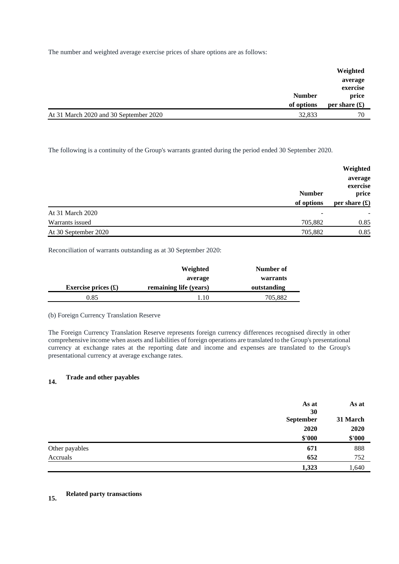The number and weighted average exercise prices of share options are as follows:

|                                        |               | Weighted                     |
|----------------------------------------|---------------|------------------------------|
|                                        | <b>Number</b> | average<br>exercise<br>price |
|                                        | of options    | per share $(\mathbf{f})$     |
| At 31 March 2020 and 30 September 2020 | 32,833        | 70                           |

The following is a continuity of the Group's warrants granted during the period ended 30 September 2020.

|                      | <b>Number</b><br>of options | Weighted<br>average<br>exercise<br>price<br>per share $(\mathbf{\hat{f}})$ |
|----------------------|-----------------------------|----------------------------------------------------------------------------|
| At 31 March 2020     | -                           |                                                                            |
| Warrants issued      | 705,882                     | 0.85                                                                       |
| At 30 September 2020 | 705,882                     | 0.85                                                                       |

Reconciliation of warrants outstanding as at 30 September 2020:

|                             | Weighted               | Number of   |
|-----------------------------|------------------------|-------------|
|                             | average                | warrants    |
| Exercise prices $(\pounds)$ | remaining life (years) | outstanding |
| 0.85                        | 1.10                   | 705,882     |

# (b) Foreign Currency Translation Reserve

The Foreign Currency Translation Reserve represents foreign currency differences recognised directly in other comprehensive income when assets and liabilities of foreign operations are translated to the Group's presentational currency at exchange rates at the reporting date and income and expenses are translated to the Group's presentational currency at average exchange rates.

#### **14. Trade and other payables**

|                | As at<br>30 | As at    |  |
|----------------|-------------|----------|--|
|                | September   | 31 March |  |
|                | 2020        | 2020     |  |
|                | \$'000      | \$'000   |  |
| Other payables | 671         | 888      |  |
| Accruals       | 652         | 752      |  |
|                | 1,323       | 1,640    |  |

# **15. Related party transactions**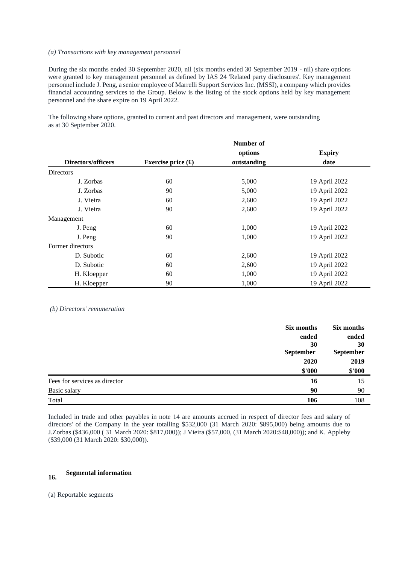### *(a) Transactions with key management personnel*

During the six months ended 30 September 2020, nil (six months ended 30 September 2019 - nil) share options were granted to key management personnel as defined by IAS 24 'Related party disclosures'. Key management personnel include J. Peng, a senior employee of Marrelli Support Services Inc. (MSSI), a company which provides financial accounting services to the Group. Below is the listing of the stock options held by key management personnel and the share expire on 19 April 2022.

The following share options, granted to current and past directors and management, were outstanding as at 30 September 2020.

|                           |                                     | Number of   |               |
|---------------------------|-------------------------------------|-------------|---------------|
|                           |                                     | options     | <b>Expiry</b> |
| <b>Directors/officers</b> | Exercise price $(\mathbf{\hat{E}})$ | outstanding | date          |
| <b>Directors</b>          |                                     |             |               |
| J. Zorbas                 | 60                                  | 5,000       | 19 April 2022 |
| J. Zorbas                 | 90                                  | 5,000       | 19 April 2022 |
| J. Vieira                 | 60                                  | 2,600       | 19 April 2022 |
| J. Vieira                 | 90                                  | 2,600       | 19 April 2022 |
| Management                |                                     |             |               |
| J. Peng                   | 60                                  | 1,000       | 19 April 2022 |
| J. Peng                   | 90                                  | 1,000       | 19 April 2022 |
| Former directors          |                                     |             |               |
| D. Subotic                | 60                                  | 2,600       | 19 April 2022 |
| D. Subotic                | 60                                  | 2,600       | 19 April 2022 |
| H. Kloepper               | 60                                  | 1,000       | 19 April 2022 |
| H. Kloepper               | 90                                  | 1,000       | 19 April 2022 |

*(b) Directors' remuneration*

|                               | Six months | Six months |
|-------------------------------|------------|------------|
|                               | ended      | ended      |
|                               | 30         | 30         |
|                               | September  | September  |
|                               | 2020       | 2019       |
|                               | \$'000     | \$'000     |
| Fees for services as director | 16         | 15         |
| Basic salary                  | 90         | 90         |
| Total                         | 106        | 108        |

Included in trade and other payables in note 14 are amounts accrued in respect of director fees and salary of directors' of the Company in the year totalling \$532,000 (31 March 2020: \$895,000) being amounts due to J.Zorbas (\$436,000 ( 31 March 2020: \$817,000)); J Vieira (\$57,000, (31 March 2020:\$48,000)); and K. Appleby (\$39,000 (31 March 2020: \$30,000)).

#### **16. Segmental information**

(a) Reportable segments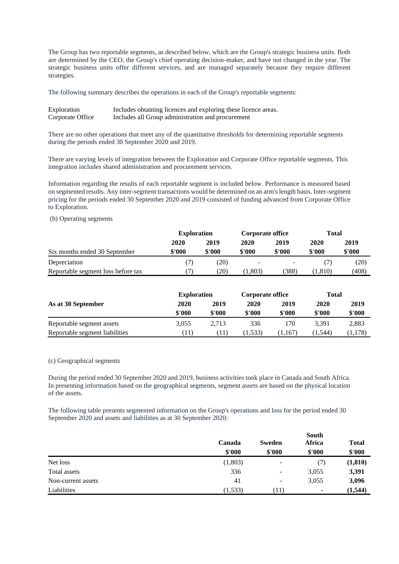The Group has two reportable segments, as described below, which are the Group's strategic business units. Both are determined by the CEO, the Group's chief operating decision-maker, and have not changed in the year. The strategic business units offer different services, and are managed separately because they require different strategies.

The following summary describes the operations in each of the Group's reportable segments:

| Exploration      | Includes obtaining licences and exploring these licence areas. |
|------------------|----------------------------------------------------------------|
| Corporate Office | Includes all Group administration and procurement              |

There are no other operations that meet any of the quantitative thresholds for determining reportable segments during the periods ended 30 September 2020 and 2019.

There are varying levels of integration between the Exploration and Corporate Office reportable segments. This integration includes shared administration and procurement services.

Information regarding the results of each reportable segment is included below. Performance is measured based on segmented results. Any inter-segment transactions would be determined on an arm's length basis. Inter-segment pricing for the periods ended 30 September 2020 and 2019 consisted of funding advanced from Corporate Office to Exploration.

# (b) Operating segments

|                                    | <b>Exploration</b> |        | <b>Corporate office</b> |        | Total  |        |
|------------------------------------|--------------------|--------|-------------------------|--------|--------|--------|
|                                    | 2020               | 2019   | 2020                    | 2019   | 2020   | 2019   |
| Six months ended 30 September      | \$'000             | \$'000 | \$'000                  | \$'000 | \$'000 | \$'000 |
| Depreciation                       |                    | (20)   |                         |        |        | (20)   |
| Reportable segment loss before tax |                    | 20)    | 1.803)                  | 388)   | 1.810) | (408)  |

|                                | <b>Exploration</b> |       | Corporate office |        | Total            |        |
|--------------------------------|--------------------|-------|------------------|--------|------------------|--------|
| As at 30 September             | 2020               | 2019  | 2020             | 2019   | 2020             | 2019   |
|                                | \$'000<br>\$'000   |       | \$'000<br>\$'000 |        | \$'000<br>\$'000 |        |
| Reportable segment assets      | 3.055              | 2.713 | 336              | 170    | 3.391            | 2,883  |
| Reportable segment liabilities | T11)               | (11)  | 1.533)           | 1.167) | (1.544)          | 1,178) |

### (c) Geographical segments

During the period ended 30 September 2020 and 2019, business activities took place in Canada and South Africa. In presenting information based on the geographical segments, segment assets are based on the physical location of the assets.

The following table presents segmented information on the Group's operations and loss for the period ended 30 September 2020 and assets and liabilities as at 30 September 2020:

|                    |         |                   | South                    |              |  |
|--------------------|---------|-------------------|--------------------------|--------------|--|
|                    | Canada  | Sweden            | Africa                   | <b>Total</b> |  |
|                    | \$'000  | \$'000            | \$'000                   | \$'000       |  |
| Net loss           | (1,803) | -                 | (7)                      | (1, 810)     |  |
| Total assets       | 336     | -                 | 3,055                    | 3,391        |  |
| Non-current assets | 41      | -                 | 3,055                    | 3,096        |  |
| Liabilities        | (1,533) | $\left(11\right)$ | $\overline{\phantom{a}}$ | (1, 544)     |  |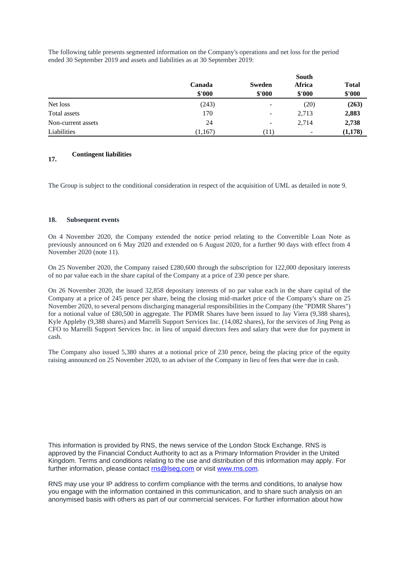The following table presents segmented information on the Company's operations and net loss for the period ended 30 September 2019 and assets and liabilities as at 30 September 2019:

|                    | South   |                          |        |              |  |
|--------------------|---------|--------------------------|--------|--------------|--|
|                    | Canada  | <b>Sweden</b>            | Africa | <b>Total</b> |  |
|                    | \$'000  | \$'000                   | \$'000 | \$'000       |  |
| Net loss           | (243)   | ۰                        | (20)   | (263)        |  |
| Total assets       | 170     | -                        | 2,713  | 2,883        |  |
| Non-current assets | 24      | $\overline{\phantom{a}}$ | 2,714  | 2,738        |  |
| Liabilities        | (1,167) | (11)                     | -      | (1, 178)     |  |

#### **17. Contingent liabilities**

The Group is subject to the conditional consideration in respect of the acquisition of UML as detailed in note 9.

# **18. Subsequent events**

On 4 November 2020, the Company extended the notice period relating to the Convertible Loan Note as previously announced on 6 May 2020 and extended on 6 August 2020, for a further 90 days with effect from 4 November 2020 (note 11).

On 25 November 2020, the Company raised £280,600 through the subscription for 122,000 depositary interests of no par value each in the share capital of the Company at a price of 230 pence per share.

On 26 November 2020, the issued 32,858 depositary interests of no par value each in the share capital of the Company at a price of 245 pence per share, being the closing mid-market price of the Company's share on 25 November 2020, to several persons discharging managerial responsibilities in the Company (the "PDMR Shares") for a notional value of £80,500 in aggregate. The PDMR Shares have been issued to Jay Viera (9,388 shares), Kyle Appleby (9,388 shares) and Marrelli Support Services Inc. (14,082 shares), for the services of Jing Peng as CFO to Marrelli Support Services Inc. in lieu of unpaid directors fees and salary that were due for payment in cash.

The Company also issued 5,380 shares at a notional price of 230 pence, being the placing price of the equity raising announced on 25 November 2020, to an adviser of the Company in lieu of fees that were due in cash.

This information is provided by RNS, the news service of the London Stock Exchange. RNS is approved by the Financial Conduct Authority to act as a Primary Information Provider in the United Kingdom. Terms and conditions relating to the use and distribution of this information may apply. For further information, please contact [rns@lseg.com](mailto:rns@lseg.com) or visit [www.rns.com.](http://www.rns.com/)

RNS may use your IP address to confirm compliance with the terms and conditions, to analyse how you engage with the information contained in this communication, and to share such analysis on an anonymised basis with others as part of our commercial services. For further information about how